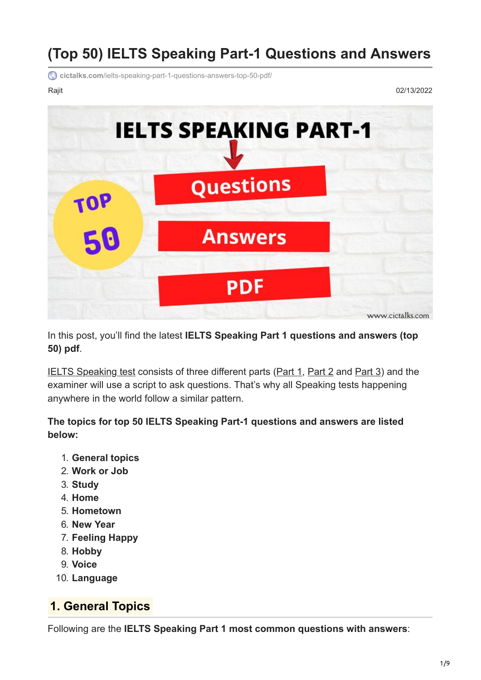# **(Top 50) IELTS Speaking Part-1 Questions and Answers**

**cictalks.com**[/ielts-speaking-part-1-questions-answers-top-50-pdf/](https://cictalks.com/ielts-speaking-part-1-questions-answers-top-50-pdf/)

Rajit 02/13/2022



In this post, you'll find the latest **IELTS Speaking Part 1 questions and answers (top 50) pdf**.

[IELTS Speaking test](https://cictalks.com/ielts-speaking-part-1-2-and-3/) consists of three different parts [\(Part 1](https://cictalks.com/ielts-speaking-part-1-questions-and-answers/), [Part 2](https://cictalks.com/ielts-speaking-part-2-cue-cards/) and [Part 3\)](https://cictalks.com/ielts-speaking-part-3-questions-answers/) and the examiner will use a script to ask questions. That's why all Speaking tests happening anywhere in the world follow a similar pattern.

**The topics for top 50 IELTS Speaking Part-1 questions and answers are listed below:**

- 1. **General topics**
- 2. **Work or Job**
- 3. **Study**
- 4. **Home**
- 5. **Hometown**
- 6. **New Year**
- 7. **Feeling Happy**
- 8. **Hobby**
- 9. **Voice**
- 10. **Language**

# **1. General Topics**

Following are the **IELTS Speaking Part 1 most common questions with answers**: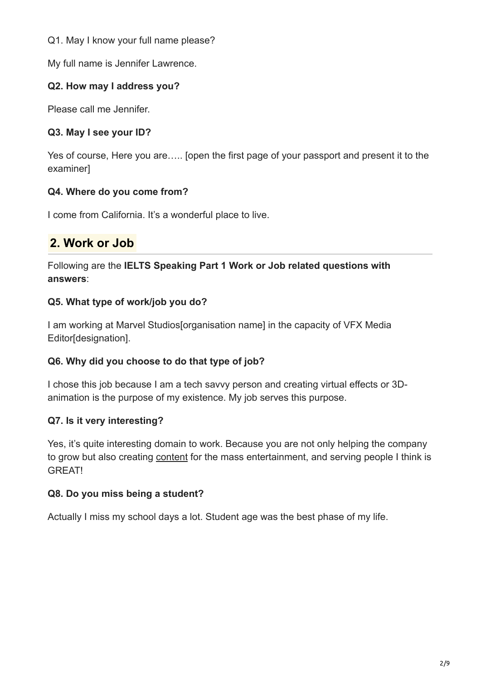Q1. May I know your full name please?

My full name is Jennifer Lawrence.

## **Q2. How may I address you?**

Please call me Jennifer.

## **Q3. May I see your ID?**

Yes of course, Here you are….. [open the first page of your passport and present it to the examiner]

## **Q4. Where do you come from?**

I come from California. It's a wonderful place to live.

# **2. Work or Job**

Following are the **IELTS Speaking Part 1 Work or Job related questions with answers**:

## **Q5. What type of work/job you do?**

I am working at Marvel Studios[organisation name] in the capacity of VFX Media Editor[designation].

## **Q6. Why did you choose to do that type of job?**

I chose this job because I am a tech savvy person and creating virtual effects or 3Danimation is the purpose of my existence. My job serves this purpose.

## **Q7. Is it very interesting?**

Yes, it's quite interesting domain to work. Because you are not only helping the company to grow but also creating [content](https://cictalks.com/IELTS-Speaking-Vocabulary/content/) for the mass entertainment, and serving people I think is GREAT!

## **Q8. Do you miss being a student?**

Actually I miss my school days a lot. Student age was the best phase of my life.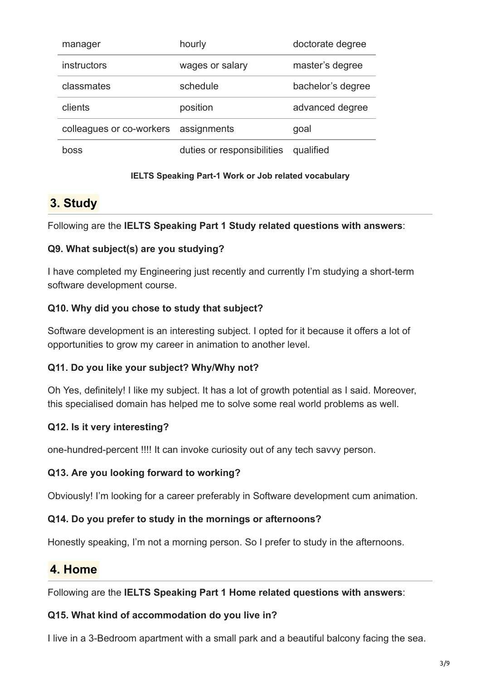| manager                              | hourly                     | doctorate degree  |
|--------------------------------------|----------------------------|-------------------|
| instructors                          | wages or salary            | master's degree   |
| classmates                           | schedule                   | bachelor's degree |
| clients                              | position                   | advanced degree   |
| colleagues or co-workers assignments |                            | goal              |
| hoss                                 | duties or responsibilities | qualified         |

#### **IELTS Speaking Part-1 Work or Job related vocabulary**

# **3. Study**

Following are the **IELTS Speaking Part 1 Study related questions with answers**:

### **Q9. What subject(s) are you studying?**

I have completed my Engineering just recently and currently I'm studying a short-term software development course.

## **Q10. Why did you chose to study that subject?**

Software development is an interesting subject. I opted for it because it offers a lot of opportunities to grow my career in animation to another level.

### **Q11. Do you like your subject? Why/Why not?**

Oh Yes, definitely! I like my subject. It has a lot of growth potential as I said. Moreover, this specialised domain has helped me to solve some real world problems as well.

## **Q12. Is it very interesting?**

one-hundred-percent !!!! It can invoke curiosity out of any tech savvy person.

### **Q13. Are you looking forward to working?**

Obviously! I'm looking for a career preferably in Software development cum animation.

### **Q14. Do you prefer to study in the mornings or afternoons?**

Honestly speaking, I'm not a morning person. So I prefer to study in the afternoons.

# **4. Home**

Following are the **IELTS Speaking Part 1 Home related questions with answers**:

### **Q15. What kind of accommodation do you live in?**

I live in a 3-Bedroom apartment with a small park and a beautiful balcony facing the sea.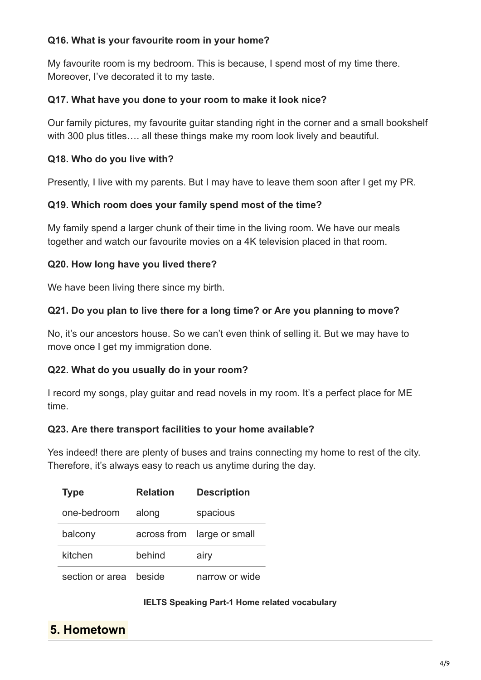## **Q16. What is your favourite room in your home?**

My favourite room is my bedroom. This is because, I spend most of my time there. Moreover, I've decorated it to my taste.

### **Q17. What have you done to your room to make it look nice?**

Our family pictures, my favourite guitar standing right in the corner and a small bookshelf with 300 plus titles…. all these things make my room look lively and beautiful.

## **Q18. Who do you live with?**

Presently, I live with my parents. But I may have to leave them soon after I get my PR.

### **Q19. Which room does your family spend most of the time?**

My family spend a larger chunk of their time in the living room. We have our meals together and watch our favourite movies on a 4K television placed in that room.

## **Q20. How long have you lived there?**

We have been living there since my birth.

## **Q21. Do you plan to live there for a long time? or Are you planning to move?**

No, it's our ancestors house. So we can't even think of selling it. But we may have to move once I get my immigration done.

### **Q22. What do you usually do in your room?**

I record my songs, play guitar and read novels in my room. It's a perfect place for ME time.

### **Q23. Are there transport facilities to your home available?**

Yes indeed! there are plenty of buses and trains connecting my home to rest of the city. Therefore, it's always easy to reach us anytime during the day.

| <b>Type</b>     | <b>Relation</b> | <b>Description</b>         |
|-----------------|-----------------|----------------------------|
| one-bedroom     | along           | spacious                   |
| balcony         |                 | across from large or small |
| kitchen         | behind          | airy                       |
| section or area | beside          | narrow or wide             |

#### **IELTS Speaking Part-1 Home related vocabulary**

# **5. Hometown**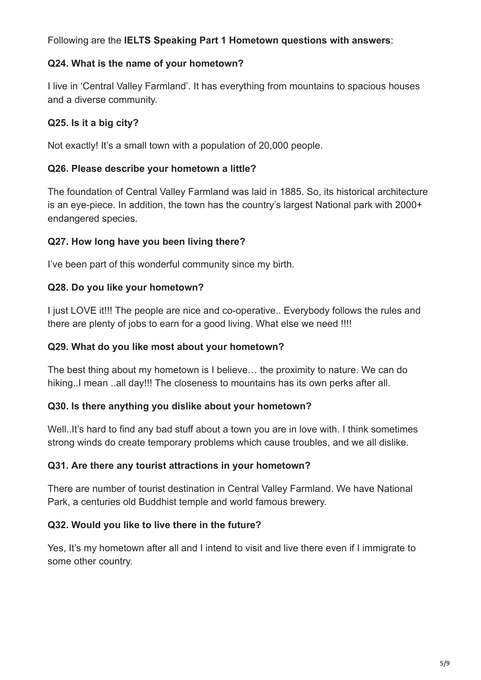Following are the **IELTS Speaking Part 1 Hometown questions with answers**:

## **Q24. What is the name of your hometown?**

I live in 'Central Valley Farmland'. It has everything from mountains to spacious houses and a diverse community.

## **Q25. Is it a big city?**

Not exactly! It's a small town with a population of 20,000 people.

## **Q26. Please describe your hometown a little?**

The foundation of Central Valley Farmland was laid in 1885. So, its historical architecture is an eye-piece. In addition, the town has the country's largest National park with 2000+ endangered species.

## **Q27. How long have you been living there?**

I've been part of this wonderful community since my birth.

## **Q28. Do you like your hometown?**

I just LOVE it!!! The people are nice and co-operative.. Everybody follows the rules and there are plenty of jobs to earn for a good living. What else we need !!!!

### **Q29. What do you like most about your hometown?**

The best thing about my hometown is I believe… the proximity to nature. We can do hiking..I mean ..all day!!! The closeness to mountains has its own perks after all.

## **Q30. Is there anything you dislike about your hometown?**

Well..It's hard to find any bad stuff about a town you are in love with. I think sometimes strong winds do create temporary problems which cause troubles, and we all dislike.

## **Q31. Are there any tourist attractions in your hometown?**

There are number of tourist destination in Central Valley Farmland. We have National Park, a centuries old Buddhist temple and world famous brewery.

## **Q32. Would you like to live there in the future?**

Yes, It's my hometown after all and I intend to visit and live there even if I immigrate to some other country.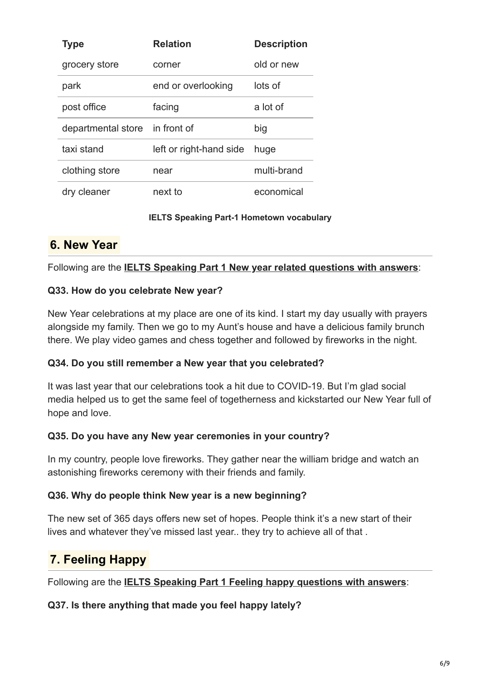| <b>Type</b>        | <b>Relation</b>         | <b>Description</b> |
|--------------------|-------------------------|--------------------|
| grocery store      | corner                  | old or new         |
| park               | end or overlooking      | lots of            |
| post office        | facing                  | a lot of           |
| departmental store | in front of             | big                |
| taxi stand         | left or right-hand side | huge               |
| clothing store     | near                    | multi-brand        |
| dry cleaner        | next to                 | economical         |

#### **IELTS Speaking Part-1 Hometown vocabulary**

# **6. New Year**

Following are the **[IELTS Speaking Part 1 New year related questions with answers](https://cictalks.com/ielts-speaking-part-1-new-year-que-ans-vocabulary/)**:

## **Q33. How do you celebrate New year?**

New Year celebrations at my place are one of its kind. I start my day usually with prayers alongside my family. Then we go to my Aunt's house and have a delicious family brunch there. We play video games and chess together and followed by fireworks in the night.

## **Q34. Do you still remember a New year that you celebrated?**

It was last year that our celebrations took a hit due to COVID-19. But I'm glad social media helped us to get the same feel of togetherness and kickstarted our New Year full of hope and love.

### **Q35. Do you have any New year ceremonies in your country?**

In my country, people love fireworks. They gather near the william bridge and watch an astonishing fireworks ceremony with their friends and family.

### **Q36. Why do people think New year is a new beginning?**

The new set of 365 days offers new set of hopes. People think it's a new start of their lives and whatever they've missed last year.. they try to achieve all of that .

# **7. Feeling Happy**

Following are the **[IELTS Speaking Part 1 Feeling happy questions with answers](https://cictalks.com/ielts-speaking-part-1-happiness-feel-happy-qa-vocabulary/)**:

## **Q37. Is there anything that made you feel happy lately?**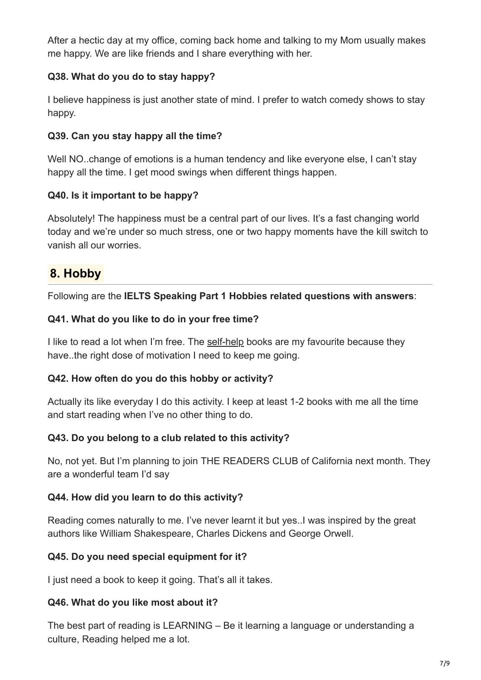After a hectic day at my office, coming back home and talking to my Mom usually makes me happy. We are like friends and I share everything with her.

## **Q38. What do you do to stay happy?**

I believe happiness is just another state of mind. I prefer to watch comedy shows to stay happy.

## **Q39. Can you stay happy all the time?**

Well NO..change of emotions is a human tendency and like everyone else, I can't stay happy all the time. I get mood swings when different things happen.

## **Q40. Is it important to be happy?**

Absolutely! The happiness must be a central part of our lives. It's a fast changing world today and we're under so much stress, one or two happy moments have the kill switch to vanish all our worries.

# **8. Hobby**

Following are the **IELTS Speaking Part 1 Hobbies related questions with answers**:

### **Q41. What do you like to do in your free time?**

I like to read a lot when I'm free. The [self-help](https://cictalks.com/IELTS-Speaking-Vocabulary/self-help/) books are my favourite because they have..the right dose of motivation I need to keep me going.

### **Q42. How often do you do this hobby or activity?**

Actually its like everyday I do this activity. I keep at least 1-2 books with me all the time and start reading when I've no other thing to do.

### **Q43. Do you belong to a club related to this activity?**

No, not yet. But I'm planning to join THE READERS CLUB of California next month. They are a wonderful team I'd say

### **Q44. How did you learn to do this activity?**

Reading comes naturally to me. I've never learnt it but yes..I was inspired by the great authors like William Shakespeare, Charles Dickens and George Orwell.

### **Q45. Do you need special equipment for it?**

I just need a book to keep it going. That's all it takes.

### **Q46. What do you like most about it?**

The best part of reading is LEARNING – Be it learning a language or understanding a culture, Reading helped me a lot.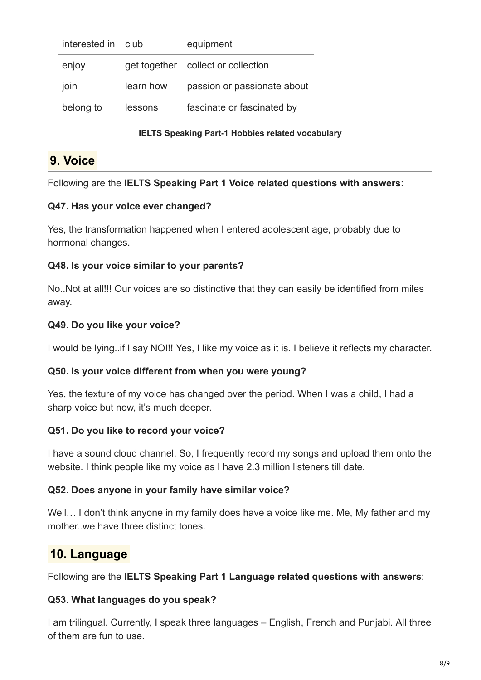| interested in | club      | equipment                          |
|---------------|-----------|------------------------------------|
| enjoy         |           | get together collect or collection |
| join          | learn how | passion or passionate about        |
| belong to     | lessons   | fascinate or fascinated by         |

#### **IELTS Speaking Part-1 Hobbies related vocabulary**

## **9. Voice**

Following are the **IELTS Speaking Part 1 Voice related questions with answers**:

### **Q47. Has your voice ever changed?**

Yes, the transformation happened when I entered adolescent age, probably due to hormonal changes.

## **Q48. Is your voice similar to your parents?**

No..Not at all!!! Our voices are so distinctive that they can easily be identified from miles away.

## **Q49. Do you like your voice?**

I would be lying..if I say NO!!! Yes, I like my voice as it is. I believe it reflects my character.

### **Q50. Is your voice different from when you were young?**

Yes, the texture of my voice has changed over the period. When I was a child, I had a sharp voice but now, it's much deeper.

### **Q51. Do you like to record your voice?**

I have a sound cloud channel. So, I frequently record my songs and upload them onto the website. I think people like my voice as I have 2.3 million listeners till date.

### **Q52. Does anyone in your family have similar voice?**

Well... I don't think anyone in my family does have a voice like me. Me, My father and my mother..we have three distinct tones.

# **10. Language**

Following are the **IELTS Speaking Part 1 Language related questions with answers**:

### **Q53. What languages do you speak?**

I am trilingual. Currently, I speak three languages – English, French and Punjabi. All three of them are fun to use.